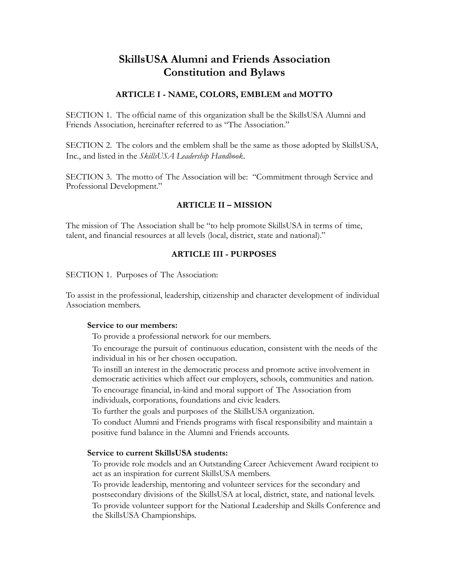# **SkillsUSA Alumni and Friends Association Constitution and Bylaws**

## **ARTICLE I - NAME, COLORS, EMBLEM and MOTTO**

SECTION 1. The official name of this organization shall be the SkillsUSA Alumni and Friends Association, hereinafter referred to as "The Association."

SECTION 2. The colors and the emblem shall be the same as those adopted by SkillsUSA, Inc., and listed in the *SkillsUSA Leadership Handbook*.

SECTION 3. The motto of The Association will be: "Commitment through Service and Professional Development."

## **ARTICLE II – MISSION**

The mission of The Association shall be "to help promote SkillsUSA in terms of time, talent, and financial resources at all levels (local, district, state and national)."

## **ARTICLE III - PURPOSES**

SECTION 1. Purposes of The Association:

To assist in the professional, leadership, citizenship and character development of individual Association members.

#### **Service to our members:**

To provide a professional network for our members.

To encourage the pursuit of continuous education, consistent with the needs of the individual in his or her chosen occupation.

To instill an interest in the democratic process and promote active involvement in democratic activities which affect our employers, schools, communities and nation. To encourage financial, in-kind and moral support of The Association from

individuals, corporations, foundations and civic leaders.

To further the goals and purposes of the SkillsUSA organization.

 To conduct Alumni and Friends programs with fiscal responsibility and maintain a positive fund balance in the Alumni and Friends accounts.

## **Service to current SkillsUSA students:**

To provide role models and an Outstanding Career Achievement Award recipient to act as an inspiration for current SkillsUSA members.

To provide leadership, mentoring and volunteer services for the secondary and postsecondary divisions of the SkillsUSA at local, district, state, and national levels. To provide volunteer support for the National Leadership and Skills Conference and the SkillsUSA Championships.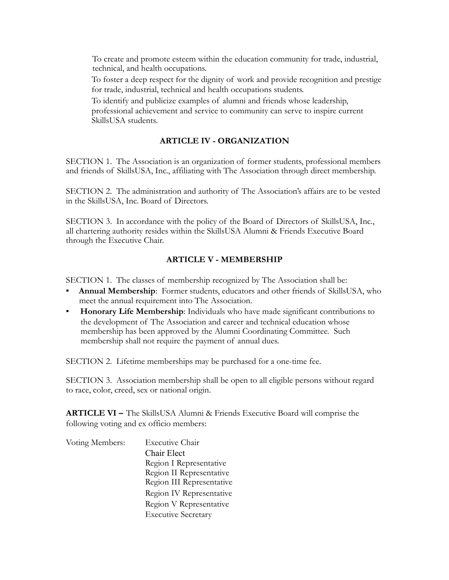To create and promote esteem within the education community for trade, industrial, technical, and health occupations.

To foster a deep respect for the dignity of work and provide recognition and prestige for trade, industrial, technical and health occupations students.

To identify and publicize examples of alumni and friends whose leadership, professional achievement and service to community can serve to inspire current SkillsUSA students.

#### **ARTICLE IV - ORGANIZATION**

SECTION 1. The Association is an organization of former students, professional members and friends of SkillsUSA, Inc., affiliating with The Association through direct membership.

SECTION 2. The administration and authority of The Association's affairs are to be vested in the SkillsUSA, Inc. Board of Directors.

SECTION 3. In accordance with the policy of the Board of Directors of SkillsUSA, Inc., all chartering authority resides within the SkillsUSA Alumni & Friends Executive Board through the Executive Chair.

#### **ARTICLE V - MEMBERSHIP**

SECTION 1. The classes of membership recognized by The Association shall be:

- Annual Membership: Former students, educators and other friends of SkillsUSA, who meet the annual requirement into The Association.
- **Honorary Life Membership**: Individuals who have made significant contributions to the development of The Association and career and technical education whose membership has been approved by the Alumni Coordinating Committee. Such membership shall not require the payment of annual dues.

SECTION 2. Lifetime memberships may be purchased for a one-time fee.

SECTION 3. Association membership shall be open to all eligible persons without regard to race, color, creed, sex or national origin.

**ARTICLE VI –** The SkillsUSA Alumni & Friends Executive Board will comprise the following voting and ex officio members:

| Voting Members: | Executive Chair            |
|-----------------|----------------------------|
|                 | Chair Elect                |
|                 | Region I Representative    |
|                 | Region II Representative   |
|                 | Region III Representative  |
|                 | Region IV Representative   |
|                 | Region V Representative    |
|                 | <b>Executive Secretary</b> |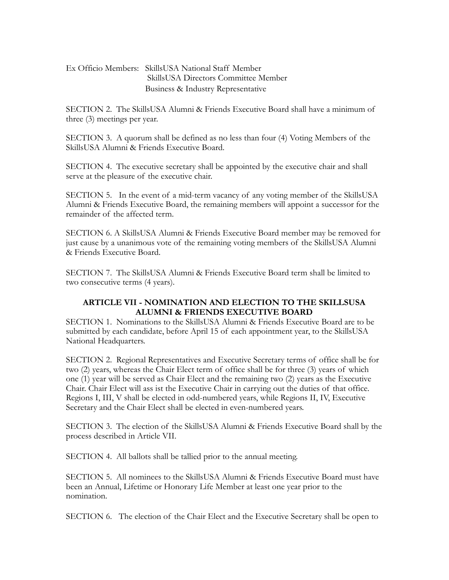## Ex Officio Members: SkillsUSA National Staff Member SkillsUSA Directors Committee Member Business & Industry Representative

SECTION 2. The SkillsUSA Alumni & Friends Executive Board shall have a minimum of three (3) meetings per year.

SECTION 3. A quorum shall be defined as no less than four (4) Voting Members of the SkillsUSA Alumni & Friends Executive Board.

SECTION 4. The executive secretary shall be appointed by the executive chair and shall serve at the pleasure of the executive chair.

SECTION 5. In the event of a mid-term vacancy of any voting member of the SkillsUSA Alumni & Friends Executive Board, the remaining members will appoint a successor for the remainder of the affected term.

SECTION 6. A SkillsUSA Alumni & Friends Executive Board member may be removed for just cause by a unanimous vote of the remaining voting members of the SkillsUSA Alumni & Friends Executive Board.

SECTION 7. The SkillsUSA Alumni & Friends Executive Board term shall be limited to two consecutive terms (4 years).

## **ARTICLE VII - NOMINATION AND ELECTION TO THE SKILLSUSA ALUMNI & FRIENDS EXECUTIVE BOARD**

SECTION 1. Nominations to the SkillsUSA Alumni & Friends Executive Board are to be submitted by each candidate, before April 15 of each appointment year, to the SkillsUSA National Headquarters.

SECTION 2. Regional Representatives and Executive Secretary terms of office shall be for two (2) years, whereas the Chair Elect term of office shall be for three (3) years of which one (1) year will be served as Chair Elect and the remaining two (2) years as the Executive Chair. Chair Elect will ass ist the Executive Chair in carrying out the duties of that office. Regions I, III, V shall be elected in odd-numbered years, while Regions II, IV, Executive Secretary and the Chair Elect shall be elected in even-numbered years.

SECTION 3. The election of the SkillsUSA Alumni & Friends Executive Board shall by the process described in Article VII.

SECTION 4. All ballots shall be tallied prior to the annual meeting.

SECTION 5. All nominees to the SkillsUSA Alumni & Friends Executive Board must have been an Annual, Lifetime or Honorary Life Member at least one year prior to the nomination.

SECTION 6. The election of the Chair Elect and the Executive Secretary shall be open to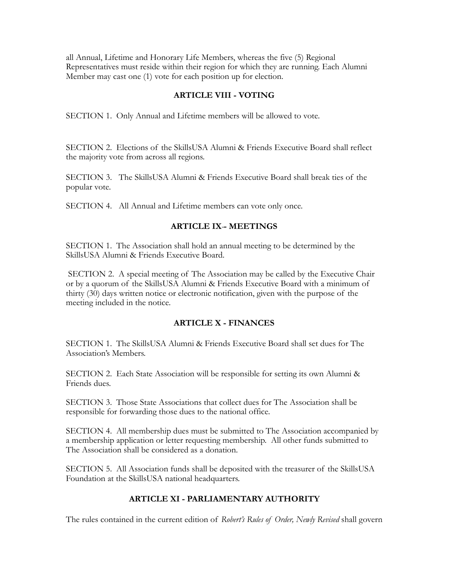all Annual, Lifetime and Honorary Life Members, whereas the five (5) Regional Representatives must reside within their region for which they are running. Each Alumni Member may cast one (1) vote for each position up for election.

#### **ARTICLE VIII - VOTING**

SECTION 1. Only Annual and Lifetime members will be allowed to vote.

SECTION 2. Elections of the SkillsUSA Alumni & Friends Executive Board shall reflect the majority vote from across all regions.

SECTION 3. The SkillsUSA Alumni & Friends Executive Board shall break ties of the popular vote.

SECTION 4. All Annual and Lifetime members can vote only once.

#### **ARTICLE IX - MEETINGS**

SECTION 1. The Association shall hold an annual meeting to be determined by the SkillsUSA Alumni & Friends Executive Board.

 SECTION 2. A special meeting of The Association may be called by the Executive Chair or by a quorum of the SkillsUSA Alumni & Friends Executive Board with a minimum of thirty (30) days written notice or electronic notification, given with the purpose of the meeting included in the notice.

#### **ARTICLE X - FINANCES**

SECTION 1. The SkillsUSA Alumni & Friends Executive Board shall set dues for The Association's Members.

SECTION 2. Each State Association will be responsible for setting its own Alumni & Friends dues.

SECTION 3. Those State Associations that collect dues for The Association shall be responsible for forwarding those dues to the national office.

SECTION 4. All membership dues must be submitted to The Association accompanied by a membership application or letter requesting membership. All other funds submitted to The Association shall be considered as a donation.

SECTION 5. All Association funds shall be deposited with the treasurer of the SkillsUSA Foundation at the SkillsUSA national headquarters.

#### **ARTICLE XI - PARLIAMENTARY AUTHORITY**

The rules contained in the current edition of *Robert's Rules of Order, Newly Revised* shall govern